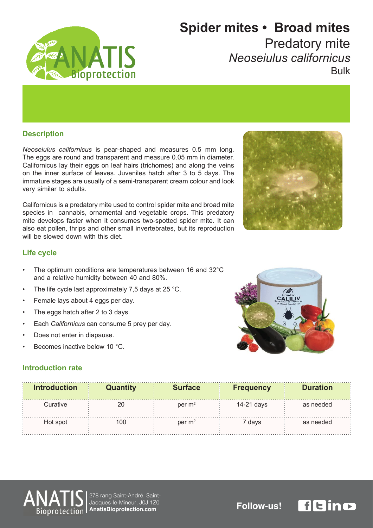

# **Spider mites • Broad mites Predatory mite**

*californicus Neoseiulus* Bulk

#### **Description**

Neoseiulus californicus is pear-shaped and measures 0.5 mm long. The eggs are round and transparent and measure 0.05 mm in diameter. Californicus lay their eggs on leaf hairs (trichomes) and along the veins on the inner surface of leaves. Juveniles hatch after 3 to 5 days. The immature stages are usually of a semi-transparent cream colour and look very similar to adults.

Californicus is a predatory mite used to control spider mite and broad mite species in cannabis, ornamental and vegetable crops. This predatory mite develops faster when it consumes two-spotted spider mite. It can also eat pollen, thrips and other small invertebrates, but its reproduction will be slowed down with this diet



### **Life** cycle

- The optimum conditions are temperatures between 16 and 32°C and a relative humidity between 40 and 80%.
- The life cycle last approximately 7,5 days at 25  $^{\circ}$ C.
- Female lays about 4 eggs per day.
- The eggs hatch after 2 to 3 days.
- Each *Californicus* can consume 5 prey per day.
- Does not enter in diapause.
- Becomes inactive below 10 °C.



#### **Introduction rate**

| <b>Introduction</b> | Quantity | <b>Surface</b>     | <b>Frequency</b> | <b>Duration</b> |
|---------------------|----------|--------------------|------------------|-----------------|
| Curative            |          | per $m2$           | 14-21 days       | as needed       |
| Hot spot            | 100      | per m <sup>2</sup> | ' davs           | as needed       |